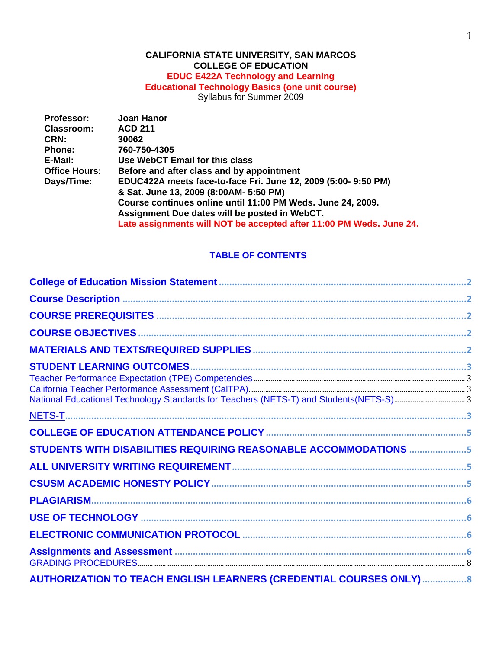### **CALIFORNIA STATE UNIVERSITY, SAN MARCOS COLLEGE OF EDUCATION EDUC E422A Technology and Learning Educational Technology Basics (one unit course)**

Syllabus for Summer 2009

| <b>Professor:</b>    | <b>Joan Hanor</b>                                                   |
|----------------------|---------------------------------------------------------------------|
| Classroom:           | <b>ACD 211</b>                                                      |
| <b>CRN:</b>          | 30062                                                               |
| Phone:               | 760-750-4305                                                        |
| E-Mail:              | Use WebCT Email for this class                                      |
| <b>Office Hours:</b> | Before and after class and by appointment                           |
| Days/Time:           | EDUC422A meets face-to-face Fri. June 12, 2009 (5:00- 9:50 PM)      |
|                      | & Sat. June 13, 2009 (8:00 AM- 5:50 PM)                             |
|                      | Course continues online until 11:00 PM Weds. June 24, 2009.         |
|                      | Assignment Due dates will be posted in WebCT.                       |
|                      | Late assignments will NOT be accepted after 11:00 PM Weds. June 24. |

### **TABLE OF CONTENTS**

| STUDENTS WITH DISABILITIES REQUIRING REASONABLE ACCOMMODATIONS 5           |
|----------------------------------------------------------------------------|
|                                                                            |
|                                                                            |
|                                                                            |
|                                                                            |
|                                                                            |
|                                                                            |
| <b>AUTHORIZATION TO TEACH ENGLISH LEARNERS (CREDENTIAL COURSES ONLY) 8</b> |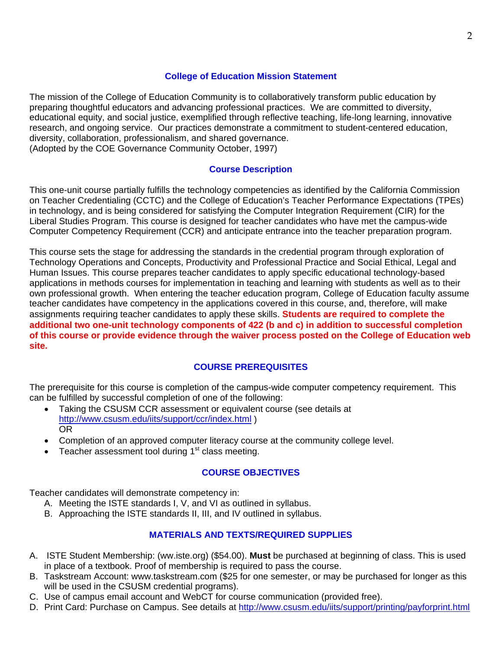# **College of Education Mission Statement**

The mission of the College of Education Community is to collaboratively transform public education by preparing thoughtful educators and advancing professional practices. We are committed to diversity, educational equity, and social justice, exemplified through reflective teaching, life-long learning, innovative research, and ongoing service. Our practices demonstrate a commitment to student-centered education, diversity, collaboration, professionalism, and shared governance. (Adopted by the COE Governance Community October, 1997)

### **Course Description**

This one-unit course partially fulfills the technology competencies as identified by the California Commission on Teacher Credentialing (CCTC) and the College of Education's Teacher Performance Expectations (TPEs) in technology, and is being considered for satisfying the Computer Integration Requirement (CIR) for the Liberal Studies Program. This course is designed for teacher candidates who have met the campus-wide Computer Competency Requirement (CCR) and anticipate entrance into the teacher preparation program.

This course sets the stage for addressing the standards in the credential program through exploration of Technology Operations and Concepts, Productivity and Professional Practice and Social Ethical, Legal and Human Issues. This course prepares teacher candidates to apply specific educational technology-based applications in methods courses for implementation in teaching and learning with students as well as to their own professional growth. When entering the teacher education program, College of Education faculty assume teacher candidates have competency in the applications covered in this course, and, therefore, will make assignments requiring teacher candidates to apply these skills. **Students are required to complete the additional two one-unit technology components of 422 (b and c) in addition to successful completion of this course or provide evidence through the waiver process posted on the College of Education web site.** 

# **COURSE PREREQUISITES**

The prerequisite for this course is completion of the campus-wide computer competency requirement. This can be fulfilled by successful completion of one of the following:

- Taking the CSUSM CCR assessment or equivalent course (see details at http://www.csusm.edu/iits/support/ccr/index.html ) OR
- Completion of an approved computer literacy course at the community college level.
- Teacher assessment tool during  $1<sup>st</sup>$  class meeting.

### **COURSE OBJECTIVES**

Teacher candidates will demonstrate competency in:

- A. Meeting the ISTE standards I, V, and VI as outlined in syllabus.
- B. Approaching the ISTE standards II, III, and IV outlined in syllabus.

### **MATERIALS AND TEXTS/REQUIRED SUPPLIES**

- A. ISTE Student Membership: (ww.iste.org) (\$54.00). **Must** be purchased at beginning of class. This is used in place of a textbook. Proof of membership is required to pass the course.
- B. Taskstream Account: www.taskstream.com (\$25 for one semester, or may be purchased for longer as this will be used in the CSUSM credential programs).
- C. Use of campus email account and WebCT for course communication (provided free).
- D. Print Card: Purchase on Campus. See details at http://www.csusm.edu/iits/support/printing/payforprint.html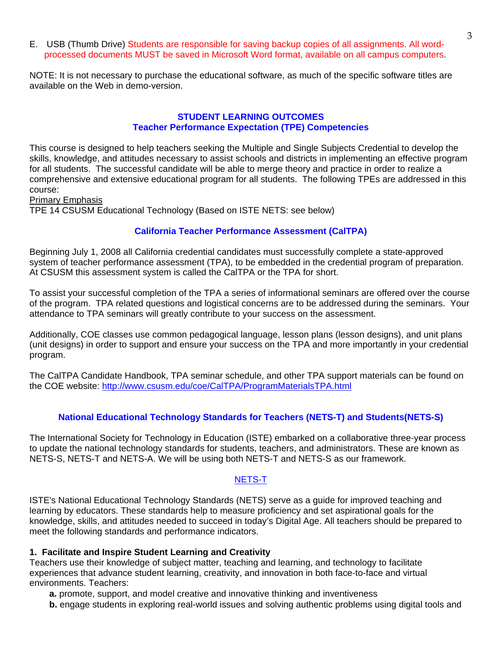E. USB (Thumb Drive) Students are responsible for saving backup copies of all assignments. All wordprocessed documents MUST be saved in Microsoft Word format, available on all campus computers.

NOTE: It is not necessary to purchase the educational software, as much of the specific software titles are available on the Web in demo-version.

### **STUDENT LEARNING OUTCOMES Teacher Performance Expectation (TPE) Competencies**

This course is designed to help teachers seeking the Multiple and Single Subjects Credential to develop the skills, knowledge, and attitudes necessary to assist schools and districts in implementing an effective program for all students. The successful candidate will be able to merge theory and practice in order to realize a comprehensive and extensive educational program for all students. The following TPEs are addressed in this course:

Primary Emphasis

TPE 14 CSUSM Educational Technology (Based on ISTE NETS: see below)

### **California Teacher Performance Assessment (CalTPA)**

Beginning July 1, 2008 all California credential candidates must successfully complete a state-approved system of teacher performance assessment (TPA), to be embedded in the credential program of preparation. At CSUSM this assessment system is called the CalTPA or the TPA for short.

To assist your successful completion of the TPA a series of informational seminars are offered over the course of the program. TPA related questions and logistical concerns are to be addressed during the seminars. Your attendance to TPA seminars will greatly contribute to your success on the assessment.

Additionally, COE classes use common pedagogical language, lesson plans (lesson designs), and unit plans (unit designs) in order to support and ensure your success on the TPA and more importantly in your credential program.

The CalTPA Candidate Handbook, TPA seminar schedule, and other TPA support materials can be found on the COE website: http://www.csusm.edu/coe/CalTPA/ProgramMaterialsTPA.html

### **National Educational Technology Standards for Teachers (NETS-T) and Students(NETS-S)**

The International Society for Technology in Education (ISTE) embarked on a collaborative three-year process to update the national technology standards for students, teachers, and administrators. These are known as NETS-S, NETS-T and NETS-A. We will be using both NETS-T and NETS-S as our framework.

# NETS-T

ISTE's National Educational Technology Standards (NETS) serve as a guide for improved teaching and learning by educators. These standards help to measure proficiency and set aspirational goals for the knowledge, skills, and attitudes needed to succeed in today's Digital Age. All teachers should be prepared to meet the following standards and performance indicators.

#### **1. Facilitate and Inspire Student Learning and Creativity**

Teachers use their knowledge of subject matter, teaching and learning, and technology to facilitate experiences that advance student learning, creativity, and innovation in both face-to-face and virtual environments. Teachers:

**a.** promote, support, and model creative and innovative thinking and inventiveness

**b.** engage students in exploring real-world issues and solving authentic problems using digital tools and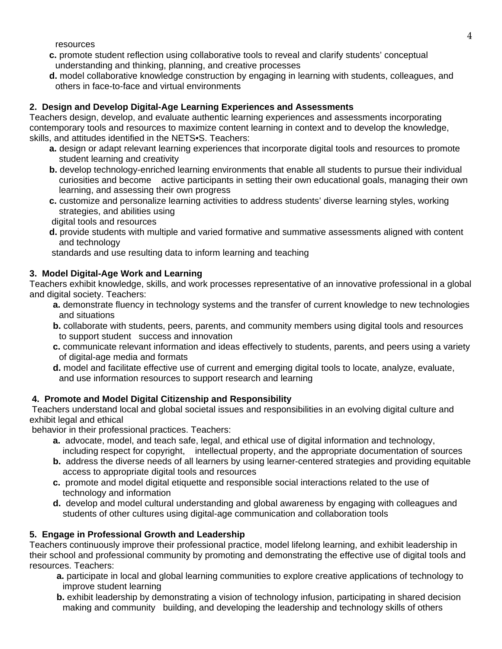resources

- **c.** promote student reflection using collaborative tools to reveal and clarify students' conceptual understanding and thinking, planning, and creative processes
- **d.** model collaborative knowledge construction by engaging in learning with students, colleagues, and others in face-to-face and virtual environments

# **2. Design and Develop Digital-Age Learning Experiences and Assessments**

Teachers design, develop, and evaluate authentic learning experiences and assessments incorporating contemporary tools and resources to maximize content learning in context and to develop the knowledge, skills, and attitudes identified in the NETS•S. Teachers:

- **a.** design or adapt relevant learning experiences that incorporate digital tools and resources to promote student learning and creativity
- curiosities and become active participants in setting their own educational goals, managing their own **b.** develop technology-enriched learning environments that enable all students to pursue their individual learning, and assessing their own progress
- **c.** customize and personalize learning activities to address students' diverse learning styles, working strategies, and abilities using

digital tools and resources

**d.** provide students with multiple and varied formative and summative assessments aligned with content and technology

standards and use resulting data to inform learning and teaching

# **3. Model Digital-Age Work and Learning**

Teachers exhibit knowledge, skills, and work processes representative of an innovative professional in a global and digital society. Teachers:

- **a.** demonstrate fluency in technology systems and the transfer of current knowledge to new technologies and situations
- **b.** collaborate with students, peers, parents, and community members using digital tools and resources to support student success and innovation
- **c.** communicate relevant information and ideas effectively to students, parents, and peers using a variety of digital-age media and formats
- **d.** model and facilitate effective use of current and emerging digital tools to locate, analyze, evaluate, and use information resources to support research and learning

# **4. Promote and Model Digital Citizenship and Responsibility**

 Teachers understand local and global societal issues and responsibilities in an evolving digital culture and exhibit legal and ethical

behavior in their professional practices. Teachers:

- including respect for copyright, intellectual property, and the appropriate documentation of sources **a.** advocate, model, and teach safe, legal, and ethical use of digital information and technology,
- **b.** address the diverse needs of all learners by using learner-centered strategies and providing equitable access to appropriate digital tools and resources
- **c.** promote and model digital etiquette and responsible social interactions related to the use of technology and information
- **d.** develop and model cultural understanding and global awareness by engaging with colleagues and students of other cultures using digital-age communication and collaboration tools

# **5. Engage in Professional Growth and Leadership**

Teachers continuously improve their professional practice, model lifelong learning, and exhibit leadership in their school and professional community by promoting and demonstrating the effective use of digital tools and resources. Teachers:

- **a.** participate in local and global learning communities to explore creative applications of technology to improve student learning
- **b.** exhibit leadership by demonstrating a vision of technology infusion, participating in shared decision making and community building, and developing the leadership and technology skills of others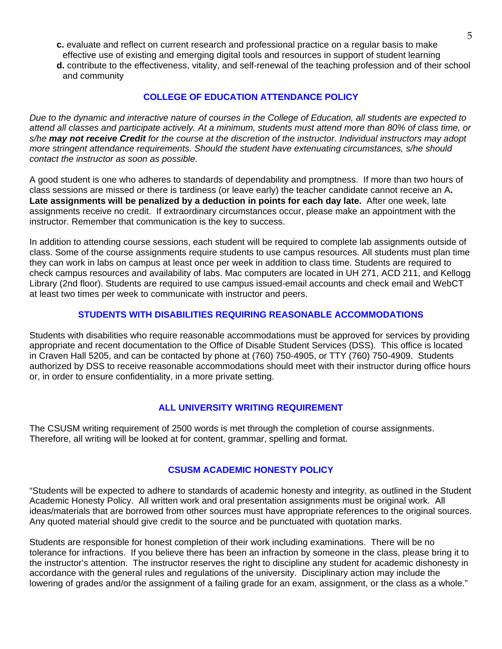**c.** evaluate and reflect on current research and professional practice on a regular basis to make effective use of existing and emerging digital tools and resources in support of student learning **d.** contribute to the effectiveness, vitality, and self-renewal of the teaching profession and of their school and community

#### **COLLEGE OF EDUCATION ATTENDANCE POLICY**

*Due to the dynamic and interactive nature of courses in the College of Education, all students are expected to attend all classes and participate actively. At a minimum, students must attend more than 80% of class time, or s/he may not receive Credit for the course at the discretion of the instructor. Individual instructors may adopt more stringent attendance requirements. Should the student have extenuating circumstances, s/he should contact the instructor as soon as possible.* 

A good student is one who adheres to standards of dependability and promptness. If more than two hours of class sessions are missed or there is tardiness (or leave early) the teacher candidate cannot receive an A**. Late assignments will be penalized by a deduction in points for each day late.** After one week, late assignments receive no credit. If extraordinary circumstances occur, please make an appointment with the instructor. Remember that communication is the key to success.

In addition to attending course sessions, each student will be required to complete lab assignments outside of class. Some of the course assignments require students to use campus resources. All students must plan time they can work in labs on campus at least once per week in addition to class time. Students are required to check campus resources and availability of labs. Mac computers are located in UH 271, ACD 211, and Kellogg Library (2nd floor). Students are required to use campus issued-email accounts and check email and WebCT at least two times per week to communicate with instructor and peers.

#### **STUDENTS WITH DISABILITIES REQUIRING REASONABLE ACCOMMODATIONS**

Students with disabilities who require reasonable accommodations must be approved for services by providing appropriate and recent documentation to the Office of Disable Student Services (DSS). This office is located in Craven Hall 5205, and can be contacted by phone at (760) 750-4905, or TTY (760) 750-4909. Students authorized by DSS to receive reasonable accommodations should meet with their instructor during office hours or, in order to ensure confidentiality, in a more private setting.

#### **ALL UNIVERSITY WRITING REQUIREMENT**

The CSUSM writing requirement of 2500 words is met through the completion of course assignments. Therefore, all writing will be looked at for content, grammar, spelling and format.

#### **CSUSM ACADEMIC HONESTY POLICY**

"Students will be expected to adhere to standards of academic honesty and integrity, as outlined in the Student Academic Honesty Policy. All written work and oral presentation assignments must be original work. All ideas/materials that are borrowed from other sources must have appropriate references to the original sources. Any quoted material should give credit to the source and be punctuated with quotation marks.

Students are responsible for honest completion of their work including examinations. There will be no tolerance for infractions. If you believe there has been an infraction by someone in the class, please bring it to the instructor's attention. The instructor reserves the right to discipline any student for academic dishonesty in accordance with the general rules and regulations of the university. Disciplinary action may include the lowering of grades and/or the assignment of a failing grade for an exam, assignment, or the class as a whole."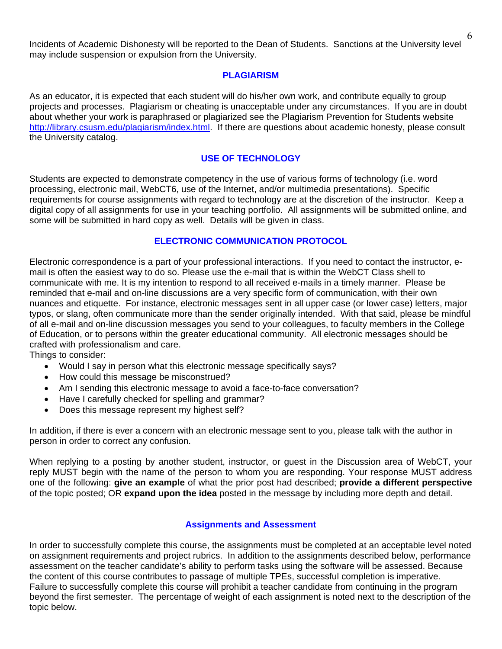Incidents of Academic Dishonesty will be reported to the Dean of Students. Sanctions at the University level may include suspension or expulsion from the University.

### **PLAGIARISM**

As an educator, it is expected that each student will do his/her own work, and contribute equally to group projects and processes. Plagiarism or cheating is unacceptable under any circumstances. If you are in doubt about whether your work is paraphrased or plagiarized see the Plagiarism Prevention for Students website http://library.csusm.edu/plagiarism/index.html. If there are questions about academic honesty, please consult the University catalog.

### **USE OF TECHNOLOGY**

Students are expected to demonstrate competency in the use of various forms of technology (i.e. word processing, electronic mail, WebCT6, use of the Internet, and/or multimedia presentations). Specific requirements for course assignments with regard to technology are at the discretion of the instructor. Keep a digital copy of all assignments for use in your teaching portfolio. All assignments will be submitted online, and some will be submitted in hard copy as well. Details will be given in class.

### **ELECTRONIC COMMUNICATION PROTOCOL**

Electronic correspondence is a part of your professional interactions. If you need to contact the instructor, email is often the easiest way to do so. Please use the e-mail that is within the WebCT Class shell to communicate with me. It is my intention to respond to all received e-mails in a timely manner. Please be reminded that e-mail and on-line discussions are a very specific form of communication, with their own nuances and etiquette. For instance, electronic messages sent in all upper case (or lower case) letters, major typos, or slang, often communicate more than the sender originally intended. With that said, please be mindful of all e-mail and on-line discussion messages you send to your colleagues, to faculty members in the College of Education, or to persons within the greater educational community. All electronic messages should be crafted with professionalism and care.

Things to consider:

- Would I say in person what this electronic message specifically says?
- How could this message be misconstrued?
- Am I sending this electronic message to avoid a face-to-face conversation?
- Have I carefully checked for spelling and grammar?
- Does this message represent my highest self?

In addition, if there is ever a concern with an electronic message sent to you, please talk with the author in person in order to correct any confusion.

When replying to a posting by another student, instructor, or guest in the Discussion area of WebCT, your reply MUST begin with the name of the person to whom you are responding. Your response MUST address one of the following: **give an example** of what the prior post had described; **provide a different perspective**  of the topic posted; OR **expand upon the idea** posted in the message by including more depth and detail.

### **Assignments and Assessment**

In order to successfully complete this course, the assignments must be completed at an acceptable level noted on assignment requirements and project rubrics. In addition to the assignments described below, performance assessment on the teacher candidate's ability to perform tasks using the software will be assessed. Because the content of this course contributes to passage of multiple TPEs, successful completion is imperative. Failure to successfully complete this course will prohibit a teacher candidate from continuing in the program beyond the first semester. The percentage of weight of each assignment is noted next to the description of the topic below.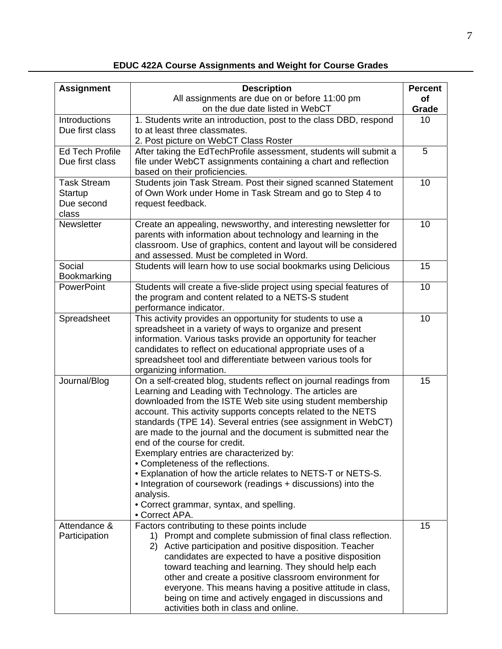# **EDUC 422A Course Assignments and Weight for Course Grades**

| <b>Assignment</b>                | <b>Description</b>                                                                                           | <b>Percent</b> |  |  |
|----------------------------------|--------------------------------------------------------------------------------------------------------------|----------------|--|--|
|                                  | All assignments are due on or before 11:00 pm                                                                | <b>of</b>      |  |  |
|                                  | on the due date listed in WebCT                                                                              | Grade<br>10    |  |  |
| Introductions                    | 1. Students write an introduction, post to the class DBD, respond                                            |                |  |  |
| Due first class                  | to at least three classmates.                                                                                |                |  |  |
|                                  | 2. Post picture on WebCT Class Roster                                                                        |                |  |  |
| <b>Ed Tech Profile</b>           | After taking the EdTechProfile assessment, students will submit a                                            |                |  |  |
| Due first class                  | file under WebCT assignments containing a chart and reflection                                               |                |  |  |
|                                  | based on their proficiencies.                                                                                |                |  |  |
| <b>Task Stream</b>               | Students join Task Stream. Post their signed scanned Statement                                               |                |  |  |
| Startup                          | of Own Work under Home in Task Stream and go to Step 4 to                                                    |                |  |  |
| Due second                       | request feedback.                                                                                            |                |  |  |
| class                            |                                                                                                              |                |  |  |
| Newsletter                       | Create an appealing, newsworthy, and interesting newsletter for                                              | 10             |  |  |
|                                  | parents with information about technology and learning in the                                                |                |  |  |
|                                  | classroom. Use of graphics, content and layout will be considered                                            |                |  |  |
| Social                           | and assessed. Must be completed in Word.                                                                     | 15             |  |  |
|                                  | Students will learn how to use social bookmarks using Delicious                                              |                |  |  |
| Bookmarking<br><b>PowerPoint</b> | Students will create a five-slide project using special features of                                          | 10             |  |  |
|                                  | the program and content related to a NETS-S student                                                          |                |  |  |
|                                  | performance indicator.                                                                                       |                |  |  |
| Spreadsheet                      | This activity provides an opportunity for students to use a                                                  | 10             |  |  |
|                                  | spreadsheet in a variety of ways to organize and present                                                     |                |  |  |
|                                  | information. Various tasks provide an opportunity for teacher                                                |                |  |  |
|                                  | candidates to reflect on educational appropriate uses of a                                                   |                |  |  |
|                                  | spreadsheet tool and differentiate between various tools for                                                 |                |  |  |
|                                  | organizing information.                                                                                      |                |  |  |
| Journal/Blog                     | On a self-created blog, students reflect on journal readings from                                            | 15             |  |  |
|                                  | Learning and Leading with Technology. The articles are                                                       |                |  |  |
|                                  | downloaded from the ISTE Web site using student membership                                                   |                |  |  |
|                                  | account. This activity supports concepts related to the NETS                                                 |                |  |  |
|                                  | standards (TPE 14). Several entries (see assignment in WebCT)                                                |                |  |  |
|                                  | are made to the journal and the document is submitted near the                                               |                |  |  |
|                                  | end of the course for credit.                                                                                |                |  |  |
|                                  | Exemplary entries are characterized by:                                                                      |                |  |  |
|                                  | • Completeness of the reflections.                                                                           |                |  |  |
|                                  | . Explanation of how the article relates to NETS-T or NETS-S.                                                |                |  |  |
|                                  | • Integration of coursework (readings + discussions) into the                                                |                |  |  |
|                                  | analysis.                                                                                                    |                |  |  |
|                                  | • Correct grammar, syntax, and spelling.                                                                     |                |  |  |
|                                  | • Correct APA.                                                                                               |                |  |  |
| Attendance &                     | Factors contributing to these points include                                                                 | 15             |  |  |
| Participation                    | 1) Prompt and complete submission of final class reflection.                                                 |                |  |  |
|                                  | 2) Active participation and positive disposition. Teacher                                                    |                |  |  |
|                                  | candidates are expected to have a positive disposition                                                       |                |  |  |
|                                  | toward teaching and learning. They should help each<br>other and create a positive classroom environment for |                |  |  |
|                                  | everyone. This means having a positive attitude in class,                                                    |                |  |  |
|                                  | being on time and actively engaged in discussions and                                                        |                |  |  |
|                                  | activities both in class and online.                                                                         |                |  |  |